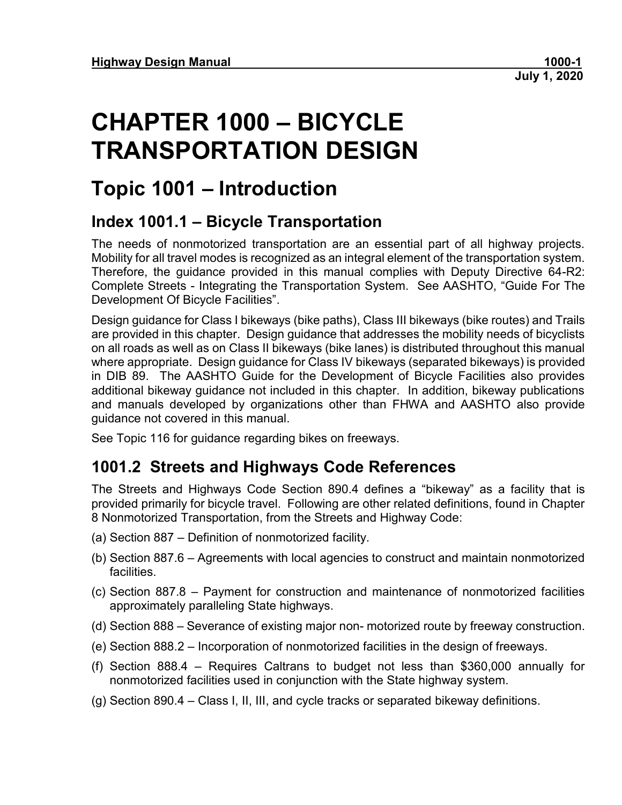# **CHAPTER 1000 – BICYCLE TRANSPORTATION DESIGN**

# **Topic 1001 – Introduction**

## **Index 1001.1 – Bicycle Transportation**

The needs of nonmotorized transportation are an essential part of all highway projects. Mobility for all travel modes is recognized as an integral element of the transportation system. Therefore, the guidance provided in this manual complies with Deputy Directive 64-R2: Complete Streets - Integrating the Transportation System. See AASHTO, "Guide For The Development Of Bicycle Facilities".

Design guidance for Class I bikeways (bike paths), Class III bikeways (bike routes) and Trails are provided in this chapter. Design guidance that addresses the mobility needs of bicyclists on all roads as well as on Class II bikeways (bike lanes) is distributed throughout this manual where appropriate. Design guidance for Class IV bikeways (separated bikeways) is provided in DIB 89. The AASHTO Guide for the Development of Bicycle Facilities also provides additional bikeway guidance not included in this chapter. In addition, bikeway publications and manuals developed by organizations other than FHWA and AASHTO also provide guidance not covered in this manual.

See Topic 116 for guidance regarding bikes on freeways.

## **1001.2 Streets and Highways Code References**

The Streets and Highways Code Section 890.4 defines a "bikeway" as a facility that is provided primarily for bicycle travel. Following are other related definitions, found in Chapter 8 Nonmotorized Transportation, from the Streets and Highway Code:

- (a) Section 887 Definition of nonmotorized facility.
- (b) Section 887.6 Agreements with local agencies to construct and maintain nonmotorized facilities.
- (c) Section 887.8 Payment for construction and maintenance of nonmotorized facilities approximately paralleling State highways.
- (d) Section 888 Severance of existing major non- motorized route by freeway construction.
- (e) Section 888.2 Incorporation of nonmotorized facilities in the design of freeways.
- (f) Section 888.4 Requires Caltrans to budget not less than \$360,000 annually for nonmotorized facilities used in conjunction with the State highway system.
- (g) Section 890.4 Class I, II, III, and cycle tracks or separated bikeway definitions.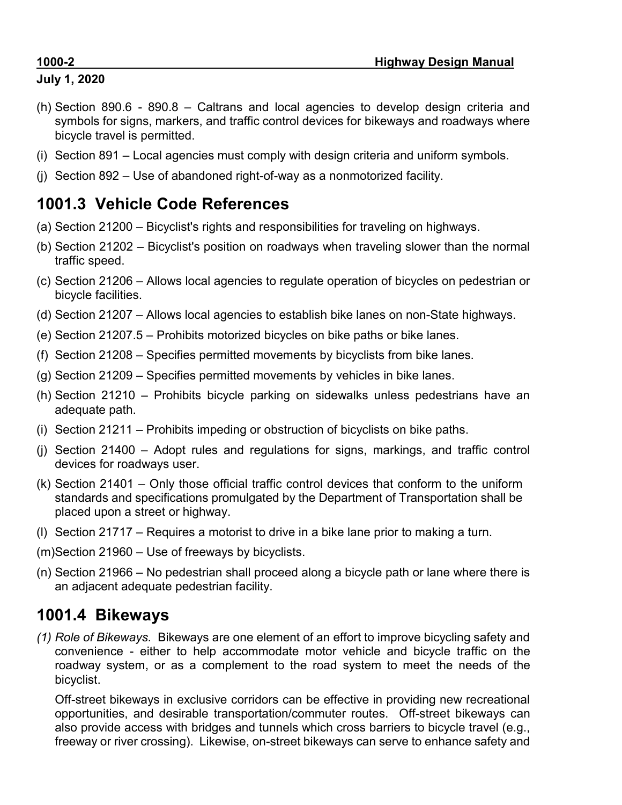- (h) Section 890.6 890.8 Caltrans and local agencies to develop design criteria and symbols for signs, markers, and traffic control devices for bikeways and roadways where bicycle travel is permitted.
- (i) Section 891 Local agencies must comply with design criteria and uniform symbols.
- (j) Section 892 Use of abandoned right-of-way as a nonmotorized facility.

## **1001.3 Vehicle Code References**

- (a) Section 21200 Bicyclist's rights and responsibilities for traveling on highways.
- (b) Section 21202 Bicyclist's position on roadways when traveling slower than the normal traffic speed.
- (c) Section 21206 Allows local agencies to regulate operation of bicycles on pedestrian or bicycle facilities.
- (d) Section 21207 Allows local agencies to establish bike lanes on non-State highways.
- (e) Section 21207.5 Prohibits motorized bicycles on bike paths or bike lanes.
- (f) Section 21208 Specifies permitted movements by bicyclists from bike lanes.
- (g) Section 21209 Specifies permitted movements by vehicles in bike lanes.
- (h) Section 21210 Prohibits bicycle parking on sidewalks unless pedestrians have an adequate path.
- (i) Section 21211 Prohibits impeding or obstruction of bicyclists on bike paths.
- (j) Section 21400 Adopt rules and regulations for signs, markings, and traffic control devices for roadways user.
- (k) Section 21401 Only those official traffic control devices that conform to the uniform standards and specifications promulgated by the Department of Transportation shall be placed upon a street or highway.
- (l) Section 21717 Requires a motorist to drive in a bike lane prior to making a turn.
- (m)Section 21960 Use of freeways by bicyclists.
- (n) Section 21966 No pedestrian shall proceed along a bicycle path or lane where there is an adjacent adequate pedestrian facility.

## **1001.4 Bikeways**

*(1) Role of Bikeways.* Bikeways are one element of an effort to improve bicycling safety and convenience - either to help accommodate motor vehicle and bicycle traffic on the roadway system, or as a complement to the road system to meet the needs of the bicyclist.

Off-street bikeways in exclusive corridors can be effective in providing new recreational opportunities, and desirable transportation/commuter routes. Off-street bikeways can also provide access with bridges and tunnels which cross barriers to bicycle travel (e.g., freeway or river crossing). Likewise, on-street bikeways can serve to enhance safety and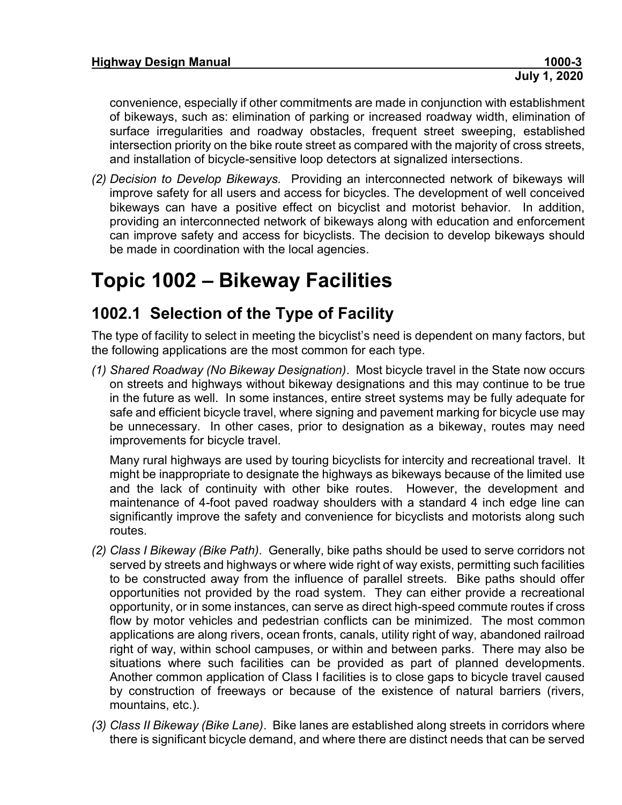convenience, especially if other commitments are made in conjunction with establishment of bikeways, such as: elimination of parking or increased roadway width, elimination of surface irregularities and roadway obstacles, frequent street sweeping, established intersection priority on the bike route street as compared with the majority of cross streets, and installation of bicycle-sensitive loop detectors at signalized intersections.

*(2) Decision to Develop Bikeways.* Providing an interconnected network of bikeways will improve safety for all users and access for bicycles. The development of well conceived bikeways can have a positive effect on bicyclist and motorist behavior. In addition, providing an interconnected network of bikeways along with education and enforcement can improve safety and access for bicyclists. The decision to develop bikeways should be made in coordination with the local agencies.

# **Topic 1002 – Bikeway Facilities**

## **1002.1 Selection of the Type of Facility**

The type of facility to select in meeting the bicyclist's need is dependent on many factors, but the following applications are the most common for each type.

*(1) Shared Roadway (No Bikeway Designation)*. Most bicycle travel in the State now occurs on streets and highways without bikeway designations and this may continue to be true in the future as well. In some instances, entire street systems may be fully adequate for safe and efficient bicycle travel, where signing and pavement marking for bicycle use may be unnecessary. In other cases, prior to designation as a bikeway, routes may need improvements for bicycle travel.

Many rural highways are used by touring bicyclists for intercity and recreational travel. It might be inappropriate to designate the highways as bikeways because of the limited use and the lack of continuity with other bike routes. However, the development and maintenance of 4-foot paved roadway shoulders with a standard 4 inch edge line can significantly improve the safety and convenience for bicyclists and motorists along such routes.

- *(2) Class I Bikeway (Bike Path)*. Generally, bike paths should be used to serve corridors not served by streets and highways or where wide right of way exists, permitting such facilities to be constructed away from the influence of parallel streets. Bike paths should offer opportunities not provided by the road system. They can either provide a recreational opportunity, or in some instances, can serve as direct high-speed commute routes if cross flow by motor vehicles and pedestrian conflicts can be minimized. The most common applications are along rivers, ocean fronts, canals, utility right of way, abandoned railroad right of way, within school campuses, or within and between parks. There may also be situations where such facilities can be provided as part of planned developments. Another common application of Class I facilities is to close gaps to bicycle travel caused by construction of freeways or because of the existence of natural barriers (rivers, mountains, etc.).
- *(3) Class II Bikeway (Bike Lane)*. Bike lanes are established along streets in corridors where there is significant bicycle demand, and where there are distinct needs that can be served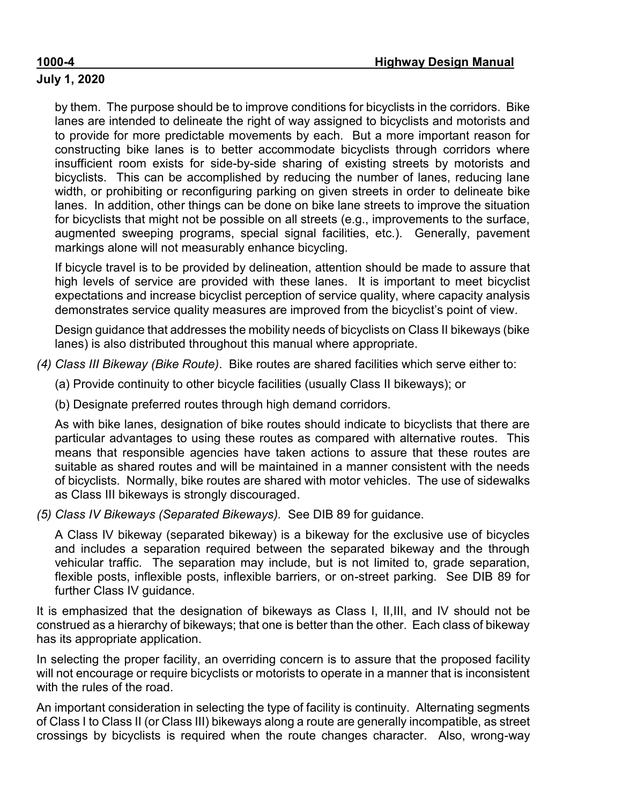by them. The purpose should be to improve conditions for bicyclists in the corridors. Bike lanes are intended to delineate the right of way assigned to bicyclists and motorists and to provide for more predictable movements by each. But a more important reason for constructing bike lanes is to better accommodate bicyclists through corridors where insufficient room exists for side-by-side sharing of existing streets by motorists and bicyclists. This can be accomplished by reducing the number of lanes, reducing lane width, or prohibiting or reconfiguring parking on given streets in order to delineate bike lanes. In addition, other things can be done on bike lane streets to improve the situation for bicyclists that might not be possible on all streets (e.g., improvements to the surface, augmented sweeping programs, special signal facilities, etc.). Generally, pavement markings alone will not measurably enhance bicycling.

If bicycle travel is to be provided by delineation, attention should be made to assure that high levels of service are provided with these lanes. It is important to meet bicyclist expectations and increase bicyclist perception of service quality, where capacity analysis demonstrates service quality measures are improved from the bicyclist's point of view.

Design guidance that addresses the mobility needs of bicyclists on Class II bikeways (bike lanes) is also distributed throughout this manual where appropriate.

- *(4) Class III Bikeway (Bike Route)*. Bike routes are shared facilities which serve either to:
	- (a) Provide continuity to other bicycle facilities (usually Class II bikeways); or
	- (b) Designate preferred routes through high demand corridors.

As with bike lanes, designation of bike routes should indicate to bicyclists that there are particular advantages to using these routes as compared with alternative routes. This means that responsible agencies have taken actions to assure that these routes are suitable as shared routes and will be maintained in a manner consistent with the needs of bicyclists. Normally, bike routes are shared with motor vehicles. The use of sidewalks as Class III bikeways is strongly discouraged.

*(5) Class IV Bikeways (Separated Bikeways).* See DIB 89 for guidance.

A Class IV bikeway (separated bikeway) is a bikeway for the exclusive use of bicycles and includes a separation required between the separated bikeway and the through vehicular traffic. The separation may include, but is not limited to, grade separation, flexible posts, inflexible posts, inflexible barriers, or on-street parking. See DIB 89 for further Class IV guidance.

It is emphasized that the designation of bikeways as Class I, II,III, and IV should not be construed as a hierarchy of bikeways; that one is better than the other. Each class of bikeway has its appropriate application.

In selecting the proper facility, an overriding concern is to assure that the proposed facility will not encourage or require bicyclists or motorists to operate in a manner that is inconsistent with the rules of the road.

An important consideration in selecting the type of facility is continuity. Alternating segments of Class I to Class II (or Class III) bikeways along a route are generally incompatible, as street crossings by bicyclists is required when the route changes character. Also, wrong-way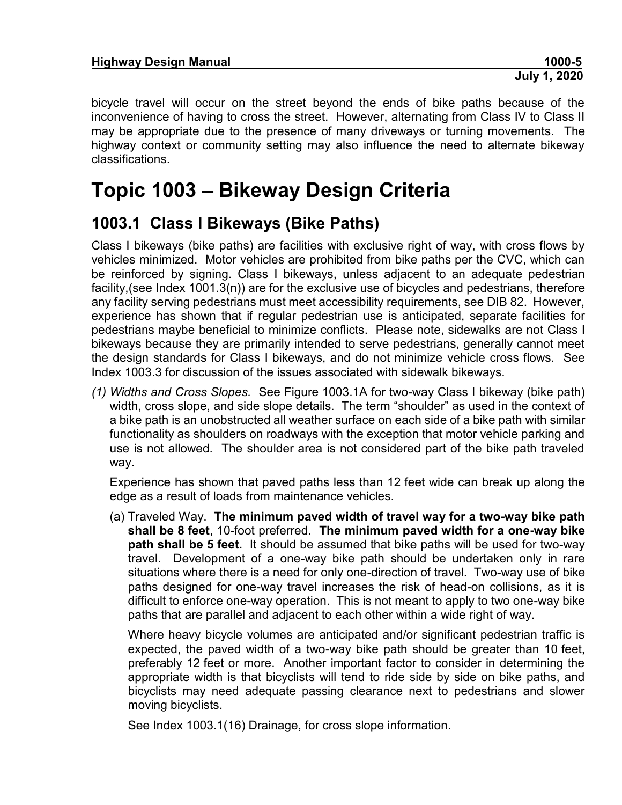bicycle travel will occur on the street beyond the ends of bike paths because of the inconvenience of having to cross the street. However, alternating from Class IV to Class II may be appropriate due to the presence of many driveways or turning movements. The highway context or community setting may also influence the need to alternate bikeway classifications.

# **Topic 1003 – Bikeway Design Criteria**

## **1003.1 Class I Bikeways (Bike Paths)**

Class I bikeways (bike paths) are facilities with exclusive right of way, with cross flows by vehicles minimized. Motor vehicles are prohibited from bike paths per the CVC, which can be reinforced by signing. Class I bikeways, unless adjacent to an adequate pedestrian facility,(see Index 1001.3(n)) are for the exclusive use of bicycles and pedestrians, therefore any facility serving pedestrians must meet accessibility requirements, see DIB 82. However, experience has shown that if regular pedestrian use is anticipated, separate facilities for pedestrians maybe beneficial to minimize conflicts. Please note, sidewalks are not Class I bikeways because they are primarily intended to serve pedestrians, generally cannot meet the design standards for Class I bikeways, and do not minimize vehicle cross flows. See Index 1003.3 for discussion of the issues associated with sidewalk bikeways.

*(1) Widths and Cross Slopes.* See Figure 1003.1A for two-way Class I bikeway (bike path) width, cross slope, and side slope details. The term "shoulder" as used in the context of a bike path is an unobstructed all weather surface on each side of a bike path with similar functionality as shoulders on roadways with the exception that motor vehicle parking and use is not allowed. The shoulder area is not considered part of the bike path traveled way.

Experience has shown that paved paths less than 12 feet wide can break up along the edge as a result of loads from maintenance vehicles.

(a) Traveled Way. **The minimum paved width of travel way for a two-way bike path shall be 8 feet**, 10-foot preferred. **The minimum paved width for a one-way bike path shall be 5 feet.** It should be assumed that bike paths will be used for two-way travel. Development of a one-way bike path should be undertaken only in rare situations where there is a need for only one-direction of travel. Two-way use of bike paths designed for one-way travel increases the risk of head-on collisions, as it is difficult to enforce one-way operation. This is not meant to apply to two one-way bike paths that are parallel and adjacent to each other within a wide right of way.

Where heavy bicycle volumes are anticipated and/or significant pedestrian traffic is expected, the paved width of a two-way bike path should be greater than 10 feet, preferably 12 feet or more. Another important factor to consider in determining the appropriate width is that bicyclists will tend to ride side by side on bike paths, and bicyclists may need adequate passing clearance next to pedestrians and slower moving bicyclists.

See Index 1003.1(16) Drainage, for cross slope information.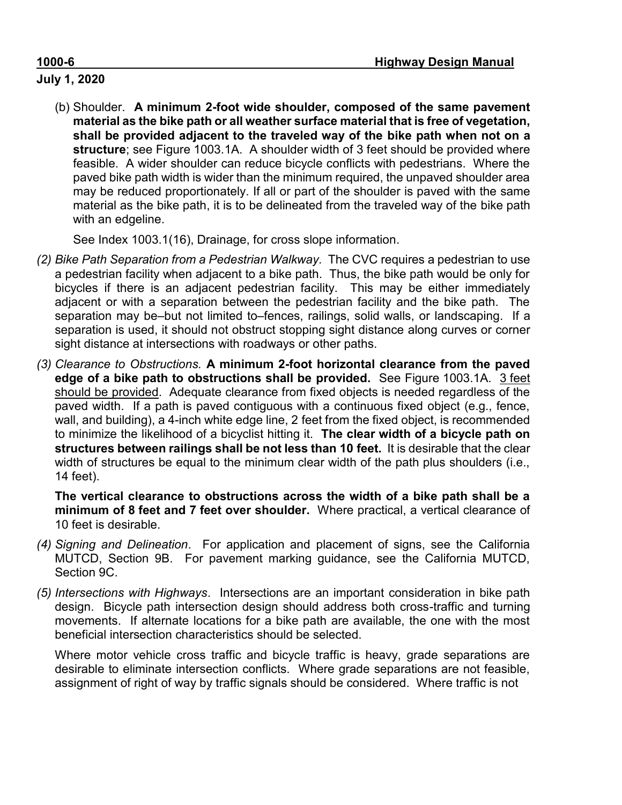(b) Shoulder. **A minimum 2-foot wide shoulder, composed of the same pavement material as the bike path or all weather surface material that is free of vegetation, shall be provided adjacent to the traveled way of the bike path when not on a structure**; see Figure 1003.1A. A shoulder width of 3 feet should be provided where feasible. A wider shoulder can reduce bicycle conflicts with pedestrians. Where the paved bike path width is wider than the minimum required, the unpaved shoulder area may be reduced proportionately. If all or part of the shoulder is paved with the same material as the bike path, it is to be delineated from the traveled way of the bike path with an edgeline.

See Index 1003.1(16), Drainage, for cross slope information.

- *(2) Bike Path Separation from a Pedestrian Walkway.* The CVC requires a pedestrian to use a pedestrian facility when adjacent to a bike path. Thus, the bike path would be only for bicycles if there is an adjacent pedestrian facility. This may be either immediately adjacent or with a separation between the pedestrian facility and the bike path. The separation may be–but not limited to–fences, railings, solid walls, or landscaping. If a separation is used, it should not obstruct stopping sight distance along curves or corner sight distance at intersections with roadways or other paths.
- *(3) Clearance to Obstructions.* **A minimum 2-foot horizontal clearance from the paved**  edge of a bike path to obstructions shall be provided. See Figure 1003.1A. 3 feet should be provided. Adequate clearance from fixed objects is needed regardless of the paved width. If a path is paved contiguous with a continuous fixed object (e.g., fence, wall, and building), a 4-inch white edge line, 2 feet from the fixed object, is recommended to minimize the likelihood of a bicyclist hitting it. **The clear width of a bicycle path on structures between railings shall be not less than 10 feet.** It is desirable that the clear width of structures be equal to the minimum clear width of the path plus shoulders (i.e., 14 feet).

**The vertical clearance to obstructions across the width of a bike path shall be a minimum of 8 feet and 7 feet over shoulder.** Where practical, a vertical clearance of 10 feet is desirable.

- *(4) Signing and Delineation*. For application and placement of signs, see the California MUTCD, Section 9B. For pavement marking guidance, see the California MUTCD, Section 9C.
- *(5) Intersections with Highways*. Intersections are an important consideration in bike path design. Bicycle path intersection design should address both cross-traffic and turning movements. If alternate locations for a bike path are available, the one with the most beneficial intersection characteristics should be selected.

Where motor vehicle cross traffic and bicycle traffic is heavy, grade separations are desirable to eliminate intersection conflicts. Where grade separations are not feasible, assignment of right of way by traffic signals should be considered. Where traffic is not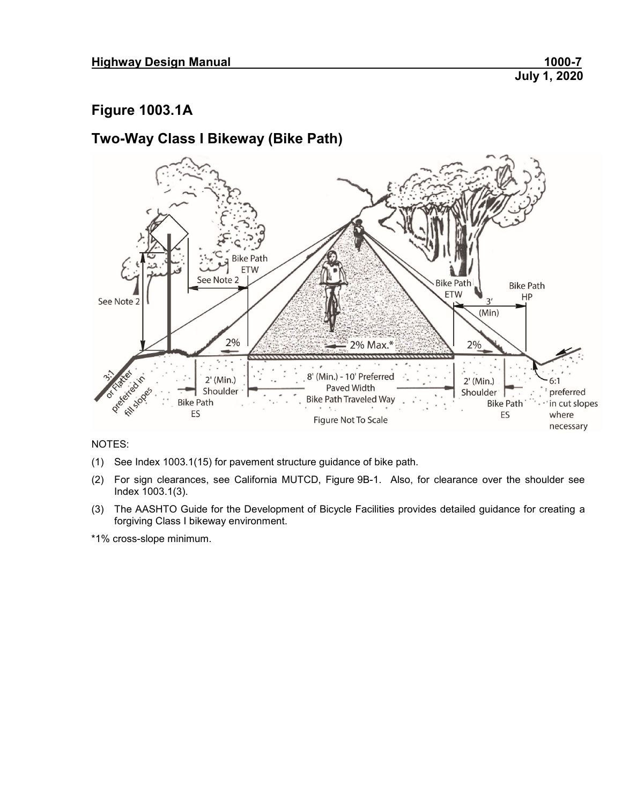### **Figure 1003.1A**

### **Two-Way Class I Bikeway (Bike Path)**



NOTES:

- (1) See Index 1003.1(15) for pavement structure guidance of bike path.
- (2) For sign clearances, see California MUTCD, Figure 9B-1. Also, for clearance over the shoulder see Index 1003.1(3).
- (3) The AASHTO Guide for the Development of Bicycle Facilities provides detailed guidance for creating a forgiving Class I bikeway environment.

\*1% cross-slope minimum.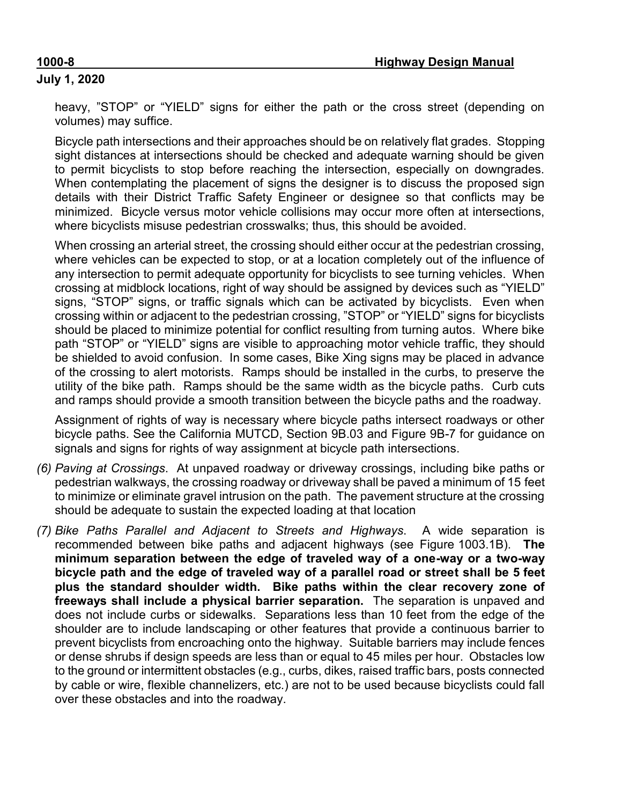heavy, "STOP" or "YIELD" signs for either the path or the cross street (depending on volumes) may suffice.

Bicycle path intersections and their approaches should be on relatively flat grades. Stopping sight distances at intersections should be checked and adequate warning should be given to permit bicyclists to stop before reaching the intersection, especially on downgrades. When contemplating the placement of signs the designer is to discuss the proposed sign details with their District Traffic Safety Engineer or designee so that conflicts may be minimized. Bicycle versus motor vehicle collisions may occur more often at intersections, where bicyclists misuse pedestrian crosswalks; thus, this should be avoided.

When crossing an arterial street, the crossing should either occur at the pedestrian crossing, where vehicles can be expected to stop, or at a location completely out of the influence of any intersection to permit adequate opportunity for bicyclists to see turning vehicles. When crossing at midblock locations, right of way should be assigned by devices such as "YIELD" signs, "STOP" signs, or traffic signals which can be activated by bicyclists. Even when crossing within or adjacent to the pedestrian crossing, "STOP" or "YIELD" signs for bicyclists should be placed to minimize potential for conflict resulting from turning autos. Where bike path "STOP" or "YIELD" signs are visible to approaching motor vehicle traffic, they should be shielded to avoid confusion. In some cases, Bike Xing signs may be placed in advance of the crossing to alert motorists. Ramps should be installed in the curbs, to preserve the utility of the bike path. Ramps should be the same width as the bicycle paths. Curb cuts and ramps should provide a smooth transition between the bicycle paths and the roadway.

Assignment of rights of way is necessary where bicycle paths intersect roadways or other bicycle paths. See the California MUTCD, Section 9B.03 and Figure 9B-7 for guidance on signals and signs for rights of way assignment at bicycle path intersections.

- *(6) Paving at Crossings*. At unpaved roadway or driveway crossings, including bike paths or pedestrian walkways, the crossing roadway or driveway shall be paved a minimum of 15 feet to minimize or eliminate gravel intrusion on the path. The pavement structure at the crossing should be adequate to sustain the expected loading at that location
- *(7) Bike Paths Parallel and Adjacent to Streets and Highways*. A wide separation is recommended between bike paths and adjacent highways (see Figure 1003.1B). **The minimum separation between the edge of traveled way of a one-way or a two-way bicycle path and the edge of traveled way of a parallel road or street shall be 5 feet plus the standard shoulder width. Bike paths within the clear recovery zone of freeways shall include a physical barrier separation.** The separation is unpaved and does not include curbs or sidewalks. Separations less than 10 feet from the edge of the shoulder are to include landscaping or other features that provide a continuous barrier to prevent bicyclists from encroaching onto the highway. Suitable barriers may include fences or dense shrubs if design speeds are less than or equal to 45 miles per hour. Obstacles low to the ground or intermittent obstacles (e.g., curbs, dikes, raised traffic bars, posts connected by cable or wire, flexible channelizers, etc.) are not to be used because bicyclists could fall over these obstacles and into the roadway.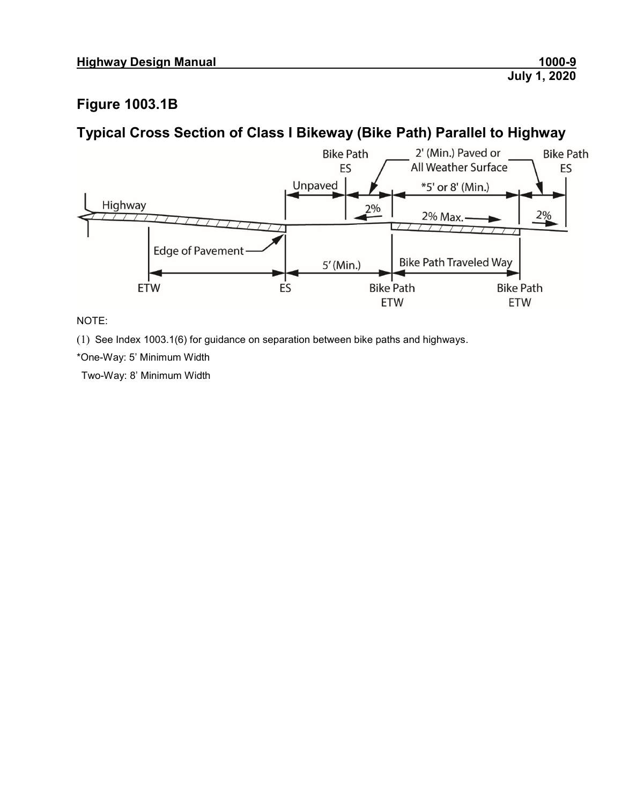### **Figure 1003.1B**

## **Typical Cross Section of Class I Bikeway (Bike Path) Parallel to Highway**



NOTE:

(1) See Index 1003.1(6) for guidance on separation between bike paths and highways.

\*One-Way: 5' Minimum Width

Two-Way: 8' Minimum Width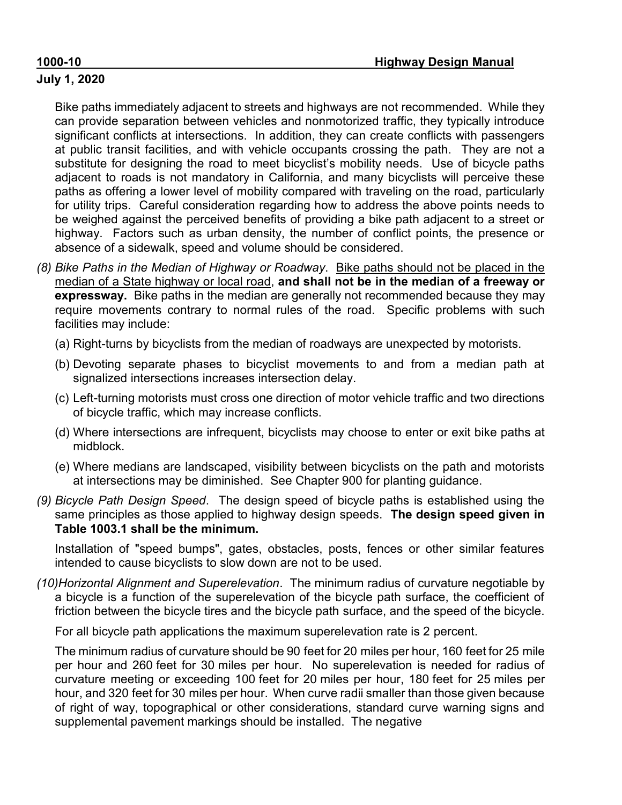Bike paths immediately adjacent to streets and highways are not recommended. While they can provide separation between vehicles and nonmotorized traffic, they typically introduce significant conflicts at intersections. In addition, they can create conflicts with passengers at public transit facilities, and with vehicle occupants crossing the path. They are not a substitute for designing the road to meet bicyclist's mobility needs. Use of bicycle paths adjacent to roads is not mandatory in California, and many bicyclists will perceive these paths as offering a lower level of mobility compared with traveling on the road, particularly for utility trips. Careful consideration regarding how to address the above points needs to be weighed against the perceived benefits of providing a bike path adjacent to a street or highway. Factors such as urban density, the number of conflict points, the presence or absence of a sidewalk, speed and volume should be considered.

- *(8) Bike Paths in the Median of Highway or Roadway*. Bike paths should not be placed in the median of a State highway or local road, **and shall not be in the median of a freeway or expressway.** Bike paths in the median are generally not recommended because they may require movements contrary to normal rules of the road. Specific problems with such facilities may include:
	- (a) Right-turns by bicyclists from the median of roadways are unexpected by motorists.
	- (b) Devoting separate phases to bicyclist movements to and from a median path at signalized intersections increases intersection delay.
	- (c) Left-turning motorists must cross one direction of motor vehicle traffic and two directions of bicycle traffic, which may increase conflicts.
	- (d) Where intersections are infrequent, bicyclists may choose to enter or exit bike paths at midblock.
	- (e) Where medians are landscaped, visibility between bicyclists on the path and motorists at intersections may be diminished. See Chapter 900 for planting guidance.
- *(9) Bicycle Path Design Speed*. The design speed of bicycle paths is established using the same principles as those applied to highway design speeds. **The design speed given in Table 1003.1 shall be the minimum.**

Installation of "speed bumps", gates, obstacles, posts, fences or other similar features intended to cause bicyclists to slow down are not to be used.

*(10)Horizontal Alignment and Superelevation*. The minimum radius of curvature negotiable by a bicycle is a function of the superelevation of the bicycle path surface, the coefficient of friction between the bicycle tires and the bicycle path surface, and the speed of the bicycle.

For all bicycle path applications the maximum superelevation rate is 2 percent.

The minimum radius of curvature should be 90 feet for 20 miles per hour, 160 feet for 25 mile per hour and 260 feet for 30 miles per hour. No superelevation is needed for radius of curvature meeting or exceeding 100 feet for 20 miles per hour, 180 feet for 25 miles per hour, and 320 feet for 30 miles per hour. When curve radii smaller than those given because of right of way, topographical or other considerations, standard curve warning signs and supplemental pavement markings should be installed. The negative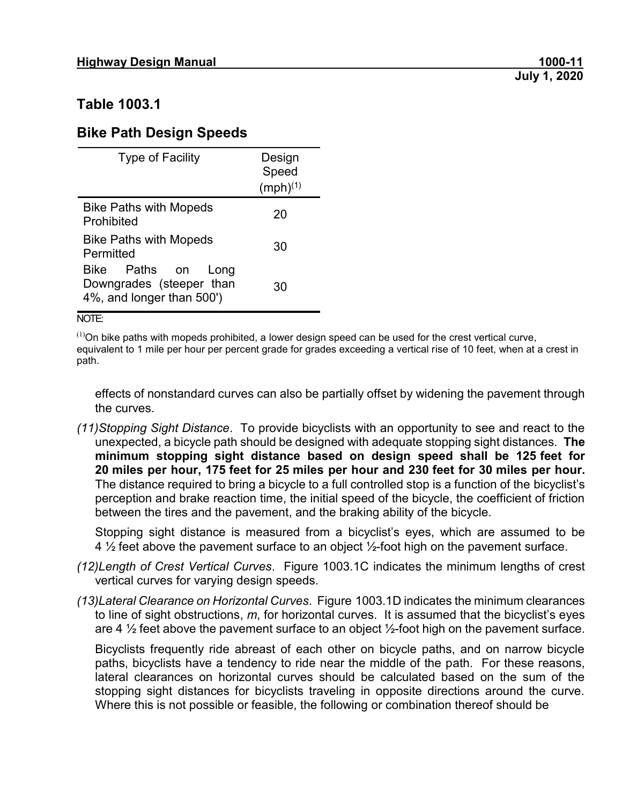### **Bike Path Design Speeds**

| <b>Type of Facility</b>                                                        | Design<br>Speed<br>$(mph)^{(1)}$ |  |  |  |
|--------------------------------------------------------------------------------|----------------------------------|--|--|--|
| <b>Bike Paths with Mopeds</b><br>Prohibited                                    | 20                               |  |  |  |
| <b>Bike Paths with Mopeds</b><br>Permitted                                     | 30                               |  |  |  |
| Bike Paths on<br>Long<br>Downgrades (steeper than<br>4%, and longer than 500') | 30                               |  |  |  |

NOTE:

 $<sup>(1)</sup>$ On bike paths with mopeds prohibited, a lower design speed can be used for the crest vertical curve,</sup> equivalent to 1 mile per hour per percent grade for grades exceeding a vertical rise of 10 feet, when at a crest in path.

effects of nonstandard curves can also be partially offset by widening the pavement through the curves.

*(11)Stopping Sight Distance*. To provide bicyclists with an opportunity to see and react to the unexpected, a bicycle path should be designed with adequate stopping sight distances. **The minimum stopping sight distance based on design speed shall be 125 feet for 20 miles per hour, 175 feet for 25 miles per hour and 230 feet for 30 miles per hour.** The distance required to bring a bicycle to a full controlled stop is a function of the bicyclist's perception and brake reaction time, the initial speed of the bicycle, the coefficient of friction between the tires and the pavement, and the braking ability of the bicycle.

Stopping sight distance is measured from a bicyclist's eyes, which are assumed to be 4  $\frac{1}{2}$  feet above the pavement surface to an object  $\frac{1}{2}$ -foot high on the pavement surface.

- *(12)Length of Crest Vertical Curves*. Figure 1003.1C indicates the minimum lengths of crest vertical curves for varying design speeds.
- *(13)Lateral Clearance on Horizontal Curves*. Figure 1003.1D indicates the minimum clearances to line of sight obstructions, *m*, for horizontal curves. It is assumed that the bicyclist's eyes are 4  $\frac{1}{2}$  feet above the pavement surface to an object  $\frac{1}{2}$ -foot high on the pavement surface.

Bicyclists frequently ride abreast of each other on bicycle paths, and on narrow bicycle paths, bicyclists have a tendency to ride near the middle of the path. For these reasons, lateral clearances on horizontal curves should be calculated based on the sum of the stopping sight distances for bicyclists traveling in opposite directions around the curve. Where this is not possible or feasible, the following or combination thereof should be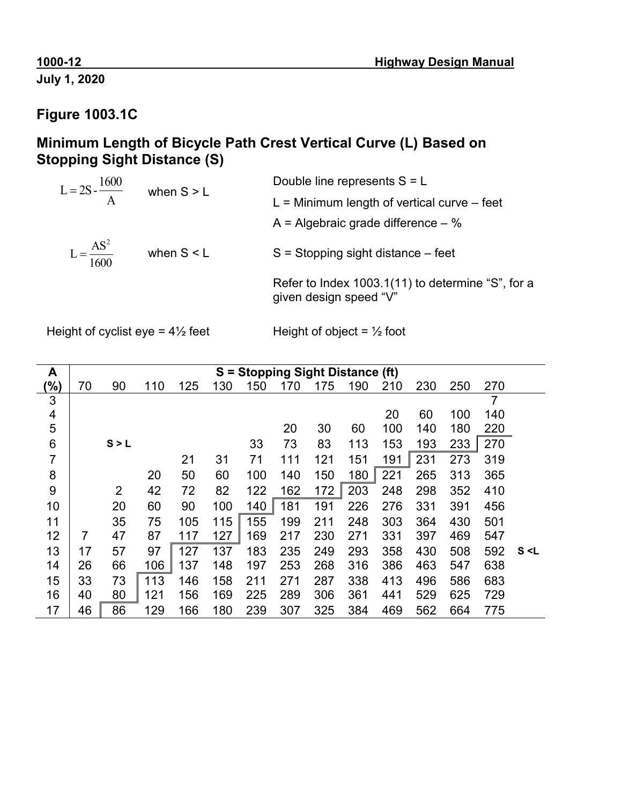## **Figure 1003.1C**

## **Minimum Length of Bicycle Path Crest Vertical Curve (L) Based on Stopping Sight Distance (S)**

| $L = 2S - \frac{1600}{A}$          | when $S > L$ | Double line represents $S = L$                                              |  |  |  |  |
|------------------------------------|--------------|-----------------------------------------------------------------------------|--|--|--|--|
|                                    |              | $L =$ Minimum length of vertical curve – feet                               |  |  |  |  |
|                                    |              | A = Algebraic grade difference $-$ %                                        |  |  |  |  |
| $r_{\text{B}} = \frac{AS^2}{1600}$ | when $S < L$ | $S =$ Stopping sight distance – feet                                        |  |  |  |  |
|                                    |              | Refer to Index 1003.1(11) to determine "S", for a<br>given design speed "V" |  |  |  |  |
|                                    |              |                                                                             |  |  |  |  |

Height of object =  $\frac{1}{2}$  foot

| A               | S = Stopping Sight Distance (ft) |                |     |     |     |     |     |     |     |     |     |     |     |       |
|-----------------|----------------------------------|----------------|-----|-----|-----|-----|-----|-----|-----|-----|-----|-----|-----|-------|
| $\frac{9}{6}$   | 70                               | 90             | 110 | 125 | 130 | 150 | 170 | 175 | 190 | 210 | 230 | 250 | 270 |       |
| 3               |                                  |                |     |     |     |     |     |     |     |     |     |     | 7   |       |
| 4               |                                  |                |     |     |     |     |     |     |     | 20  | 60  | 100 | 140 |       |
| 5               |                                  |                |     |     |     |     | 20  | 30  | 60  | 100 | 140 | 180 | 220 |       |
| $6\phantom{1}6$ |                                  | S > L          |     |     |     | 33  | 73  | 83  | 113 | 153 | 193 | 233 | 270 |       |
| 7               |                                  |                |     | 21  | 31  | 71  | 111 | 121 | 151 | 191 | 231 | 273 | 319 |       |
| 8               |                                  |                | 20  | 50  | 60  | 100 | 140 | 150 | 180 | 221 | 265 | 313 | 365 |       |
| 9               |                                  | $\overline{2}$ | 42  | 72  | 82  | 122 | 162 | 172 | 203 | 248 | 298 | 352 | 410 |       |
| 10              |                                  | 20             | 60  | 90  | 100 | 140 | 181 | 191 | 226 | 276 | 331 | 391 | 456 |       |
| 11              |                                  | 35             | 75  | 105 | 115 | 155 | 199 | 211 | 248 | 303 | 364 | 430 | 501 |       |
| 12              | 7                                | 47             | 87  | 117 | 127 | 169 | 217 | 230 | 271 | 331 | 397 | 469 | 547 |       |
| 13              | 17                               | 57             | 97  | 127 | 137 | 183 | 235 | 249 | 293 | 358 | 430 | 508 | 592 | S < L |
| 14              | 26                               | 66             | 106 | 137 | 148 | 197 | 253 | 268 | 316 | 386 | 463 | 547 | 638 |       |
| 15              | 33                               | 73             | 113 | 146 | 158 | 211 | 271 | 287 | 338 | 413 | 496 | 586 | 683 |       |
| 16              | 40                               | 80             | 121 | 156 | 169 | 225 | 289 | 306 | 361 | 441 | 529 | 625 | 729 |       |
| 17              | 46                               | 86             | 129 | 166 | 180 | 239 | 307 | 325 | 384 | 469 | 562 | 664 | 775 |       |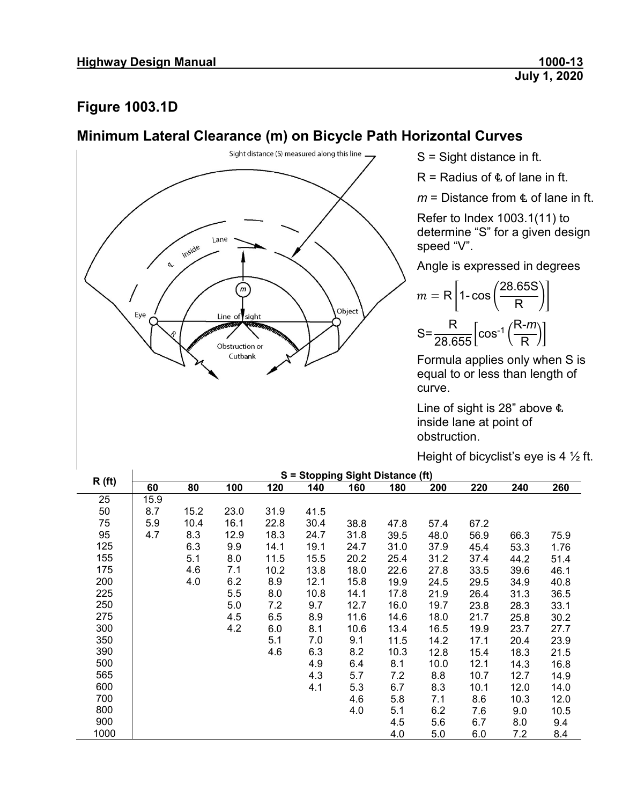#### **Figure 1003.1D**

### **Minimum Lateral Clearance (m) on Bicycle Path Horizontal Curves**



S = Sight distance in ft.

 $R =$  Radius of  $\Phi$  of lane in ft.

 $m =$  Distance from  $\Phi$  of lane in ft.

Refer to Index 1003.1(11) to determine "S" for a given design speed "V".

Angle is expressed in degrees

$$
m = R \left[ 1 - \cos \left( \frac{28.65S}{R} \right) \right]
$$

$$
S = \frac{R}{28.655} \left[ \cos^{-1} \left( \frac{R-m}{R} \right) \right]
$$

Formula applies only when S is equal to or less than length of curve.

Line of sight is 28" above  $\pmb{\mathbb{t}}$ inside lane at point of obstruction.

Height of bicyclist's eye is 4  $\frac{1}{2}$  ft.

|                    |      | S = Stopping Sight Distance (ft) |      |      |      |      |      |      |      |      |      |  |  |
|--------------------|------|----------------------------------|------|------|------|------|------|------|------|------|------|--|--|
| R(f <sub>t</sub> ) | 60   | 80                               | 100  | 120  | 140  | 160  | 180  | 200  | 220  | 240  | 260  |  |  |
| 25                 | 15.9 |                                  |      |      |      |      |      |      |      |      |      |  |  |
| 50                 | 8.7  | 15.2                             | 23.0 | 31.9 | 41.5 |      |      |      |      |      |      |  |  |
| 75                 | 5.9  | 10.4                             | 16.1 | 22.8 | 30.4 | 38.8 | 47.8 | 57.4 | 67.2 |      |      |  |  |
| 95                 | 4.7  | 8.3                              | 12.9 | 18.3 | 24.7 | 31.8 | 39.5 | 48.0 | 56.9 | 66.3 | 75.9 |  |  |
| 125                |      | 6.3                              | 9.9  | 14.1 | 19.1 | 24.7 | 31.0 | 37.9 | 45.4 | 53.3 | 1.76 |  |  |
| 155                |      | 5.1                              | 8.0  | 11.5 | 15.5 | 20.2 | 25.4 | 31.2 | 37.4 | 44.2 | 51.4 |  |  |
| 175                |      | 4.6                              | 7.1  | 10.2 | 13.8 | 18.0 | 22.6 | 27.8 | 33.5 | 39.6 | 46.1 |  |  |
| 200                |      | 4.0                              | 6.2  | 8.9  | 12.1 | 15.8 | 19.9 | 24.5 | 29.5 | 34.9 | 40.8 |  |  |
| 225                |      |                                  | 5.5  | 8.0  | 10.8 | 14.1 | 17.8 | 21.9 | 26.4 | 31.3 | 36.5 |  |  |
| 250                |      |                                  | 5.0  | 7.2  | 9.7  | 12.7 | 16.0 | 19.7 | 23.8 | 28.3 | 33.1 |  |  |
| 275                |      |                                  | 4.5  | 6.5  | 8.9  | 11.6 | 14.6 | 18.0 | 21.7 | 25.8 | 30.2 |  |  |
| 300                |      |                                  | 4.2  | 6.0  | 8.1  | 10.6 | 13.4 | 16.5 | 19.9 | 23.7 | 27.7 |  |  |
| 350                |      |                                  |      | 5.1  | 7.0  | 9.1  | 11.5 | 14.2 | 17.1 | 20.4 | 23.9 |  |  |
| 390                |      |                                  |      | 4.6  | 6.3  | 8.2  | 10.3 | 12.8 | 15.4 | 18.3 | 21.5 |  |  |
| 500                |      |                                  |      |      | 4.9  | 6.4  | 8.1  | 10.0 | 12.1 | 14.3 | 16.8 |  |  |
| 565                |      |                                  |      |      | 4.3  | 5.7  | 7.2  | 8.8  | 10.7 | 12.7 | 14.9 |  |  |
| 600                |      |                                  |      |      | 4.1  | 5.3  | 6.7  | 8.3  | 10.1 | 12.0 | 14.0 |  |  |
| 700                |      |                                  |      |      |      | 4.6  | 5.8  | 7.1  | 8.6  | 10.3 | 12.0 |  |  |
| 800                |      |                                  |      |      |      | 4.0  | 5.1  | 6.2  | 7.6  | 9.0  | 10.5 |  |  |
| 900                |      |                                  |      |      |      |      | 4.5  | 5.6  | 6.7  | 8.0  | 9.4  |  |  |
| 1000               |      |                                  |      |      |      |      | 4.0  | 5.0  | 6.0  | 7.2  | 8.4  |  |  |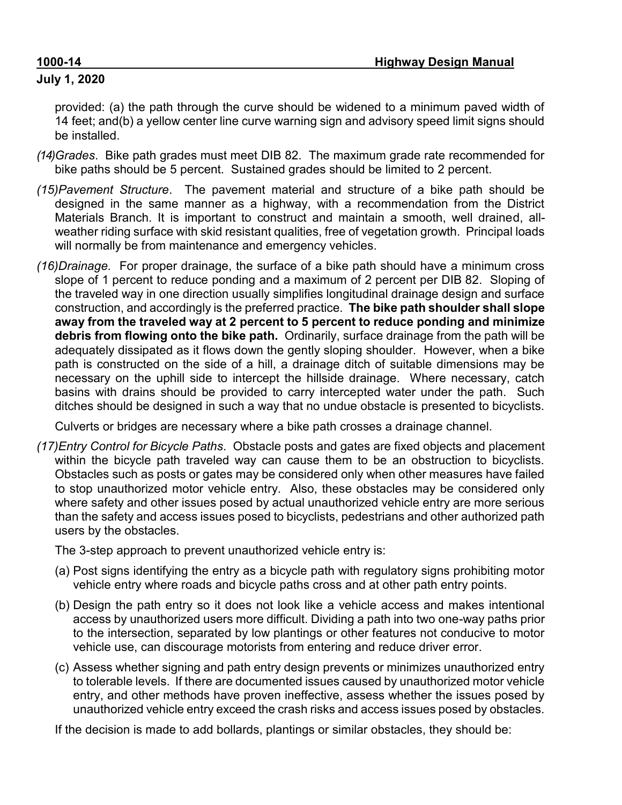provided: (a) the path through the curve should be widened to a minimum paved width of 14 feet; and(b) a yellow center line curve warning sign and advisory speed limit signs should be installed.

- *(14)Grades*. Bike path grades must meet DIB 82. The maximum grade rate recommended for bike paths should be 5 percent. Sustained grades should be limited to 2 percent.
- *(15)Pavement Structure*. The pavement material and structure of a bike path should be designed in the same manner as a highway, with a recommendation from the District Materials Branch. It is important to construct and maintain a smooth, well drained, allweather riding surface with skid resistant qualities, free of vegetation growth. Principal loads will normally be from maintenance and emergency vehicles.
- *(16)Drainage.* For proper drainage, the surface of a bike path should have a minimum cross slope of 1 percent to reduce ponding and a maximum of 2 percent per DIB 82. Sloping of the traveled way in one direction usually simplifies longitudinal drainage design and surface construction, and accordingly is the preferred practice. **The bike path shoulder shall slope away from the traveled way at 2 percent to 5 percent to reduce ponding and minimize debris from flowing onto the bike path.** Ordinarily, surface drainage from the path will be adequately dissipated as it flows down the gently sloping shoulder. However, when a bike path is constructed on the side of a hill, a drainage ditch of suitable dimensions may be necessary on the uphill side to intercept the hillside drainage. Where necessary, catch basins with drains should be provided to carry intercepted water under the path. Such ditches should be designed in such a way that no undue obstacle is presented to bicyclists.

Culverts or bridges are necessary where a bike path crosses a drainage channel.

*(17)Entry Control for Bicycle Paths*. Obstacle posts and gates are fixed objects and placement within the bicycle path traveled way can cause them to be an obstruction to bicyclists. Obstacles such as posts or gates may be considered only when other measures have failed to stop unauthorized motor vehicle entry. Also, these obstacles may be considered only where safety and other issues posed by actual unauthorized vehicle entry are more serious than the safety and access issues posed to bicyclists, pedestrians and other authorized path users by the obstacles.

The 3-step approach to prevent unauthorized vehicle entry is:

- (a) Post signs identifying the entry as a bicycle path with regulatory signs prohibiting motor vehicle entry where roads and bicycle paths cross and at other path entry points.
- (b) Design the path entry so it does not look like a vehicle access and makes intentional access by unauthorized users more difficult. Dividing a path into two one-way paths prior to the intersection, separated by low plantings or other features not conducive to motor vehicle use, can discourage motorists from entering and reduce driver error.
- (c) Assess whether signing and path entry design prevents or minimizes unauthorized entry to tolerable levels. If there are documented issues caused by unauthorized motor vehicle entry, and other methods have proven ineffective, assess whether the issues posed by unauthorized vehicle entry exceed the crash risks and access issues posed by obstacles.

If the decision is made to add bollards, plantings or similar obstacles, they should be: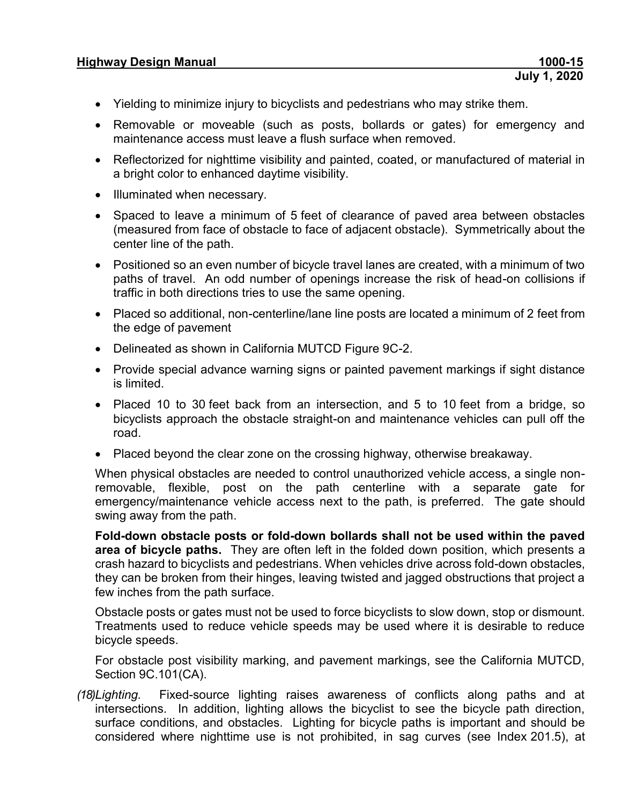- Yielding to minimize injury to bicyclists and pedestrians who may strike them.
- Removable or moveable (such as posts, bollards or gates) for emergency and maintenance access must leave a flush surface when removed.
- Reflectorized for nighttime visibility and painted, coated, or manufactured of material in a bright color to enhanced daytime visibility.
- Illuminated when necessary.
- Spaced to leave a minimum of 5 feet of clearance of paved area between obstacles (measured from face of obstacle to face of adjacent obstacle). Symmetrically about the center line of the path.
- Positioned so an even number of bicycle travel lanes are created, with a minimum of two paths of travel. An odd number of openings increase the risk of head-on collisions if traffic in both directions tries to use the same opening.
- Placed so additional, non-centerline/lane line posts are located a minimum of 2 feet from the edge of pavement
- Delineated as shown in California MUTCD Figure 9C-2.
- Provide special advance warning signs or painted pavement markings if sight distance is limited.
- Placed 10 to 30 feet back from an intersection, and 5 to 10 feet from a bridge, so bicyclists approach the obstacle straight-on and maintenance vehicles can pull off the road.
- Placed beyond the clear zone on the crossing highway, otherwise breakaway.

When physical obstacles are needed to control unauthorized vehicle access, a single nonremovable, flexible, post on the path centerline with a separate gate for emergency/maintenance vehicle access next to the path, is preferred. The gate should swing away from the path.

**Fold-down obstacle posts or fold-down bollards shall not be used within the paved area of bicycle paths.** They are often left in the folded down position, which presents a crash hazard to bicyclists and pedestrians. When vehicles drive across fold-down obstacles, they can be broken from their hinges, leaving twisted and jagged obstructions that project a few inches from the path surface.

Obstacle posts or gates must not be used to force bicyclists to slow down, stop or dismount. Treatments used to reduce vehicle speeds may be used where it is desirable to reduce bicycle speeds.

For obstacle post visibility marking, and pavement markings, see the California MUTCD, Section 9C.101(CA).

*(18)Lighting.* Fixed-source lighting raises awareness of conflicts along paths and at intersections. In addition, lighting allows the bicyclist to see the bicycle path direction, surface conditions, and obstacles. Lighting for bicycle paths is important and should be considered where nighttime use is not prohibited, in sag curves (see Index 201.5), at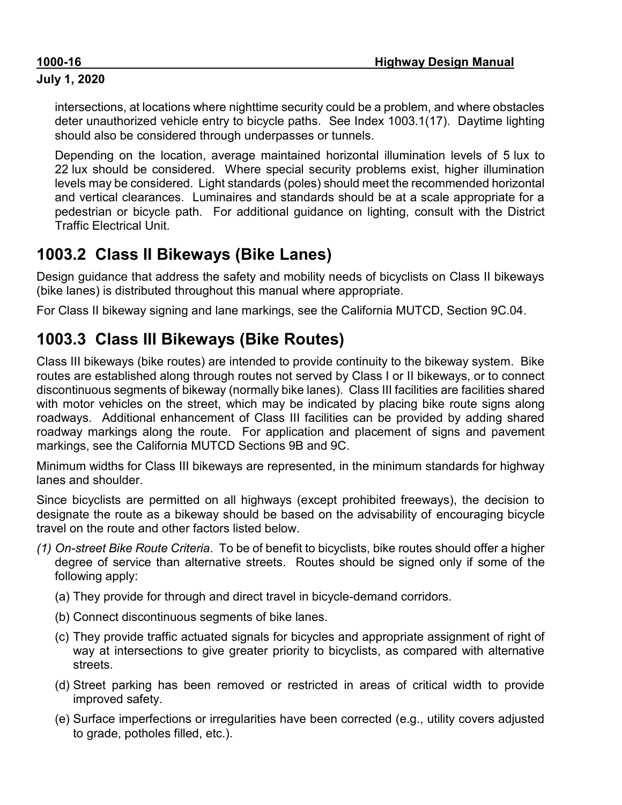intersections, at locations where nighttime security could be a problem, and where obstacles deter unauthorized vehicle entry to bicycle paths. See Index 1003.1(17). Daytime lighting should also be considered through underpasses or tunnels.

Depending on the location, average maintained horizontal illumination levels of 5 lux to 22 lux should be considered. Where special security problems exist, higher illumination levels may be considered. Light standards (poles) should meet the recommended horizontal and vertical clearances. Luminaires and standards should be at a scale appropriate for a pedestrian or bicycle path. For additional guidance on lighting, consult with the District Traffic Electrical Unit.

## **1003.2 Class II Bikeways (Bike Lanes)**

Design guidance that address the safety and mobility needs of bicyclists on Class II bikeways (bike lanes) is distributed throughout this manual where appropriate.

For Class II bikeway signing and lane markings, see the California MUTCD, Section 9C.04.

## **1003.3 Class III Bikeways (Bike Routes)**

Class III bikeways (bike routes) are intended to provide continuity to the bikeway system. Bike routes are established along through routes not served by Class I or II bikeways, or to connect discontinuous segments of bikeway (normally bike lanes). Class III facilities are facilities shared with motor vehicles on the street, which may be indicated by placing bike route signs along roadways. Additional enhancement of Class III facilities can be provided by adding shared roadway markings along the route. For application and placement of signs and pavement markings, see the California MUTCD Sections 9B and 9C.

Minimum widths for Class III bikeways are represented, in the minimum standards for highway lanes and shoulder.

Since bicyclists are permitted on all highways (except prohibited freeways), the decision to designate the route as a bikeway should be based on the advisability of encouraging bicycle travel on the route and other factors listed below.

- *(1) On-street Bike Route Criteria*. To be of benefit to bicyclists, bike routes should offer a higher degree of service than alternative streets. Routes should be signed only if some of the following apply:
	- (a) They provide for through and direct travel in bicycle-demand corridors.
	- (b) Connect discontinuous segments of bike lanes.
	- (c) They provide traffic actuated signals for bicycles and appropriate assignment of right of way at intersections to give greater priority to bicyclists, as compared with alternative streets.
	- (d) Street parking has been removed or restricted in areas of critical width to provide improved safety.
	- (e) Surface imperfections or irregularities have been corrected (e.g., utility covers adjusted to grade, potholes filled, etc.).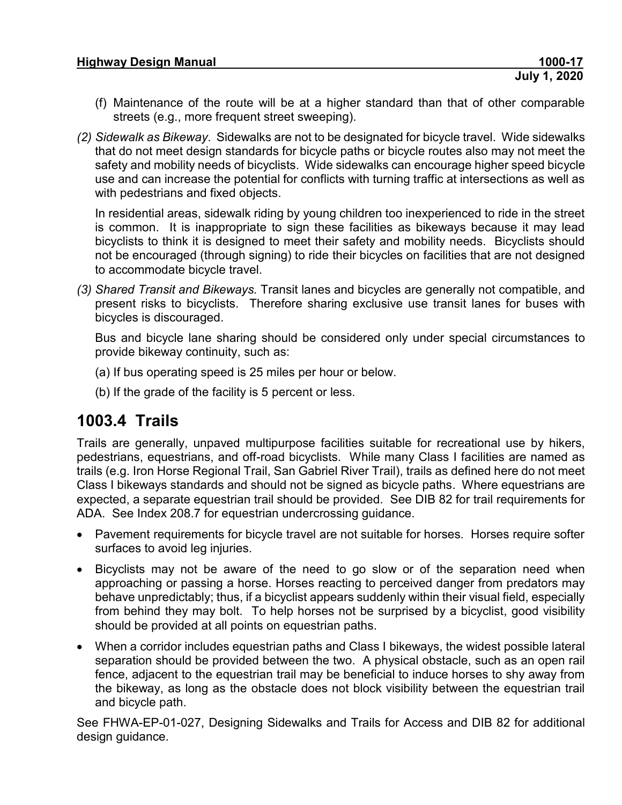- (f) Maintenance of the route will be at a higher standard than that of other comparable streets (e.g., more frequent street sweeping).
- *(2) Sidewalk as Bikeway*. Sidewalks are not to be designated for bicycle travel. Wide sidewalks that do not meet design standards for bicycle paths or bicycle routes also may not meet the safety and mobility needs of bicyclists. Wide sidewalks can encourage higher speed bicycle use and can increase the potential for conflicts with turning traffic at intersections as well as with pedestrians and fixed objects.

In residential areas, sidewalk riding by young children too inexperienced to ride in the street is common. It is inappropriate to sign these facilities as bikeways because it may lead bicyclists to think it is designed to meet their safety and mobility needs. Bicyclists should not be encouraged (through signing) to ride their bicycles on facilities that are not designed to accommodate bicycle travel.

*(3) Shared Transit and Bikeways.* Transit lanes and bicycles are generally not compatible, and present risks to bicyclists. Therefore sharing exclusive use transit lanes for buses with bicycles is discouraged.

Bus and bicycle lane sharing should be considered only under special circumstances to provide bikeway continuity, such as:

- (a) If bus operating speed is 25 miles per hour or below.
- (b) If the grade of the facility is 5 percent or less.

## **1003.4 Trails**

Trails are generally, unpaved multipurpose facilities suitable for recreational use by hikers, pedestrians, equestrians, and off-road bicyclists. While many Class I facilities are named as trails (e.g. Iron Horse Regional Trail, San Gabriel River Trail), trails as defined here do not meet Class I bikeways standards and should not be signed as bicycle paths. Where equestrians are expected, a separate equestrian trail should be provided. See DIB 82 for trail requirements for ADA. See Index 208.7 for equestrian undercrossing guidance.

- Pavement requirements for bicycle travel are not suitable for horses. Horses require softer surfaces to avoid leg injuries.
- Bicyclists may not be aware of the need to go slow or of the separation need when approaching or passing a horse. Horses reacting to perceived danger from predators may behave unpredictably; thus, if a bicyclist appears suddenly within their visual field, especially from behind they may bolt. To help horses not be surprised by a bicyclist, good visibility should be provided at all points on equestrian paths.
- When a corridor includes equestrian paths and Class I bikeways, the widest possible lateral separation should be provided between the two. A physical obstacle, such as an open rail fence, adjacent to the equestrian trail may be beneficial to induce horses to shy away from the bikeway, as long as the obstacle does not block visibility between the equestrian trail and bicycle path.

See FHWA-EP-01-027, Designing Sidewalks and Trails for Access and DIB 82 for additional design guidance.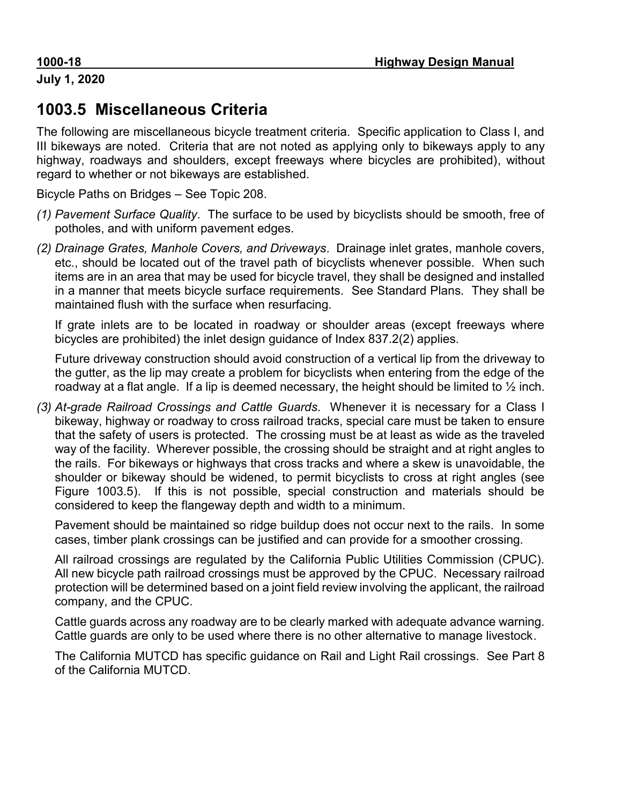## **1003.5 Miscellaneous Criteria**

The following are miscellaneous bicycle treatment criteria. Specific application to Class I, and III bikeways are noted. Criteria that are not noted as applying only to bikeways apply to any highway, roadways and shoulders, except freeways where bicycles are prohibited), without regard to whether or not bikeways are established.

Bicycle Paths on Bridges – See Topic 208.

- *(1) Pavement Surface Quality*. The surface to be used by bicyclists should be smooth, free of potholes, and with uniform pavement edges.
- *(2) Drainage Grates, Manhole Covers, and Driveways*. Drainage inlet grates, manhole covers, etc., should be located out of the travel path of bicyclists whenever possible. When such items are in an area that may be used for bicycle travel, they shall be designed and installed in a manner that meets bicycle surface requirements. See Standard Plans. They shall be maintained flush with the surface when resurfacing.

If grate inlets are to be located in roadway or shoulder areas (except freeways where bicycles are prohibited) the inlet design guidance of Index 837.2(2) applies.

Future driveway construction should avoid construction of a vertical lip from the driveway to the gutter, as the lip may create a problem for bicyclists when entering from the edge of the roadway at a flat angle. If a lip is deemed necessary, the height should be limited to  $\frac{1}{2}$  inch.

*(3) At-grade Railroad Crossings and Cattle Guards*. Whenever it is necessary for a Class I bikeway, highway or roadway to cross railroad tracks, special care must be taken to ensure that the safety of users is protected. The crossing must be at least as wide as the traveled way of the facility. Wherever possible, the crossing should be straight and at right angles to the rails. For bikeways or highways that cross tracks and where a skew is unavoidable, the shoulder or bikeway should be widened, to permit bicyclists to cross at right angles (see Figure 1003.5). If this is not possible, special construction and materials should be considered to keep the flangeway depth and width to a minimum.

Pavement should be maintained so ridge buildup does not occur next to the rails. In some cases, timber plank crossings can be justified and can provide for a smoother crossing.

All railroad crossings are regulated by the California Public Utilities Commission (CPUC). All new bicycle path railroad crossings must be approved by the CPUC. Necessary railroad protection will be determined based on a joint field review involving the applicant, the railroad company, and the CPUC.

Cattle guards across any roadway are to be clearly marked with adequate advance warning. Cattle guards are only to be used where there is no other alternative to manage livestock.

The California MUTCD has specific guidance on Rail and Light Rail crossings. See Part 8 of the California MUTCD.